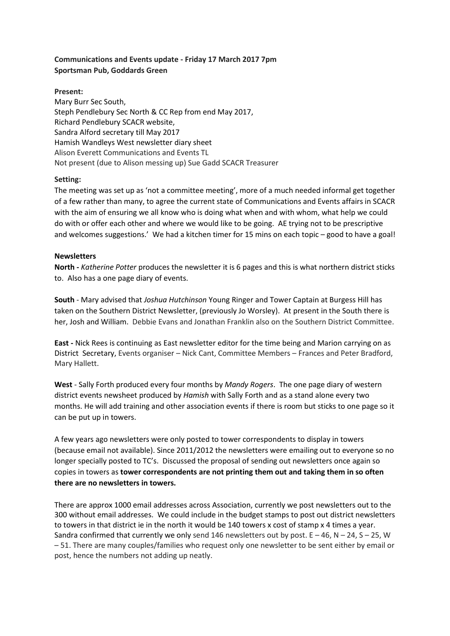# **Communications and Events update - Friday 17 March 2017 7pm Sportsman Pub, Goddards Green**

**Present:**

Mary Burr Sec South, Steph Pendlebury Sec North & CC Rep from end May 2017, Richard Pendlebury SCACR website, Sandra Alford secretary till May 2017 Hamish Wandleys West newsletter diary sheet Alison Everett Communications and Events TL Not present (due to Alison messing up) Sue Gadd SCACR Treasurer

## **Setting:**

The meeting was set up as 'not a committee meeting', more of a much needed informal get together of a few rather than many, to agree the current state of Communications and Events affairs in SCACR with the aim of ensuring we all know who is doing what when and with whom, what help we could do with or offer each other and where we would like to be going. AE trying not to be prescriptive and welcomes suggestions.' We had a kitchen timer for 15 mins on each topic – good to have a goal!

### **Newsletters**

**North -** *Katherine Potter* produces the newsletter it is 6 pages and this is what northern district sticks to. Also has a one page diary of events.

**South** - Mary advised that *Joshua Hutchinson* Young Ringer and Tower Captain at Burgess Hill has taken on the Southern District Newsletter, (previously Jo Worsley). At present in the South there is her, Josh and William. Debbie Evans and Jonathan Franklin also on the Southern District Committee.

**East -** Nick Rees is continuing as East newsletter editor for the time being and Marion carrying on as District Secretary, Events organiser – Nick Cant, Committee Members – Frances and Peter Bradford, Mary Hallett.

**West** - Sally Forth produced every four months by *Mandy Rogers*. The one page diary of western district events newsheet produced by *Hamish* with Sally Forth and as a stand alone every two months. He will add training and other association events if there is room but sticks to one page so it can be put up in towers.

A few years ago newsletters were only posted to tower correspondents to display in towers (because email not available). Since 2011/2012 the newsletters were emailing out to everyone so no longer specially posted to TC's. Discussed the proposal of sending out newsletters once again so copies in towers as **tower correspondents are not printing them out and taking them in so often there are no newsletters in towers.**

There are approx 1000 email addresses across Association, currently we post newsletters out to the 300 without email addresses. We could include in the budget stamps to post out district newsletters to towers in that district ie in the north it would be 140 towers x cost of stamp x 4 times a year. Sandra confirmed that currently we only send 146 newsletters out by post.  $E - 46$ ,  $N - 24$ ,  $S - 25$ , W – 51. There are many couples/families who request only one newsletter to be sent either by email or post, hence the numbers not adding up neatly.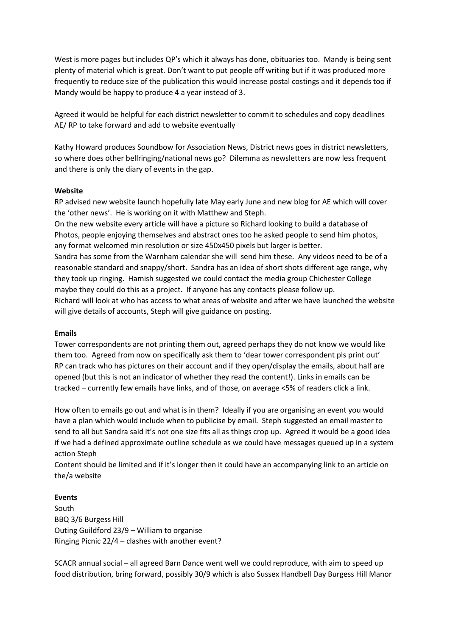West is more pages but includes QP's which it always has done, obituaries too. Mandy is being sent plenty of material which is great. Don't want to put people off writing but if it was produced more frequently to reduce size of the publication this would increase postal costings and it depends too if Mandy would be happy to produce 4 a year instead of 3.

Agreed it would be helpful for each district newsletter to commit to schedules and copy deadlines AE/ RP to take forward and add to website eventually

Kathy Howard produces Soundbow for Association News, District news goes in district newsletters, so where does other bellringing/national news go? Dilemma as newsletters are now less frequent and there is only the diary of events in the gap.

#### **Website**

RP advised new website launch hopefully late May early June and new blog for AE which will cover the 'other news'. He is working on it with Matthew and Steph.

On the new website every article will have a picture so Richard looking to build a database of Photos, people enjoying themselves and abstract ones too he asked people to send him photos, any format welcomed min resolution or size 450x450 pixels but larger is better.

Sandra has some from the Warnham calendar she will send him these. Any videos need to be of a reasonable standard and snappy/short. Sandra has an idea of short shots different age range, why they took up ringing. Hamish suggested we could contact the media group Chichester College maybe they could do this as a project. If anyone has any contacts please follow up. Richard will look at who has access to what areas of website and after we have launched the website

will give details of accounts, Steph will give guidance on posting.

#### **Emails**

Tower correspondents are not printing them out, agreed perhaps they do not know we would like them too. Agreed from now on specifically ask them to 'dear tower correspondent pls print out' RP can track who has pictures on their account and if they open/display the emails, about half are opened (but this is not an indicator of whether they read the content!). Links in emails can be tracked – currently few emails have links, and of those, on average <5% of readers click a link.

How often to emails go out and what is in them? Ideally if you are organising an event you would have a plan which would include when to publicise by email. Steph suggested an email master to send to all but Sandra said it's not one size fits all as things crop up. Agreed it would be a good idea if we had a defined approximate outline schedule as we could have messages queued up in a system action Steph

Content should be limited and if it's longer then it could have an accompanying link to an article on the/a website

## **Events**

South BBQ 3/6 Burgess Hill Outing Guildford 23/9 – William to organise Ringing Picnic 22/4 – clashes with another event?

SCACR annual social – all agreed Barn Dance went well we could reproduce, with aim to speed up food distribution, bring forward, possibly 30/9 which is also Sussex Handbell Day Burgess Hill Manor